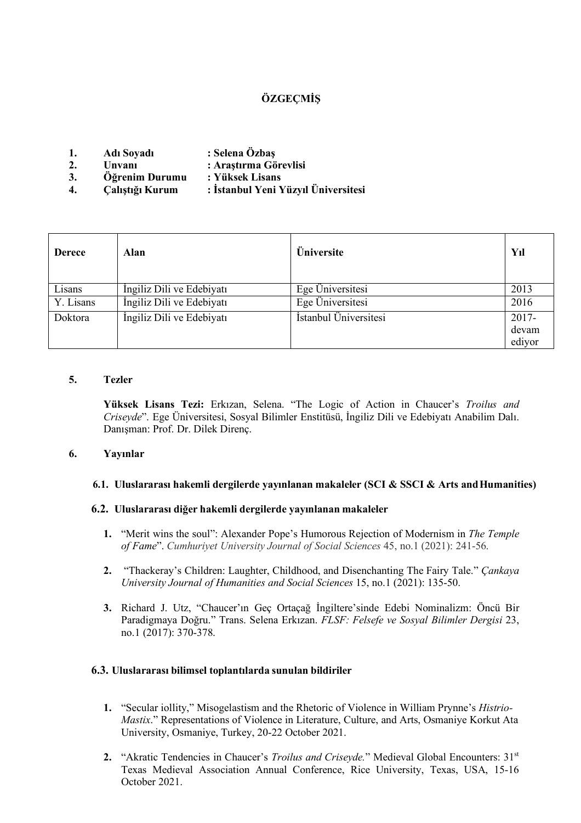# **ÖZGEÇMİŞ**

|    | Adı Soyadı | : Selena Ozbaş        |
|----|------------|-----------------------|
| ٠. | Unvani     | : Araştırma Görevlisi |

- **3. Öğrenim Durumu : Yüksek Lisans**
- **4. Çalıştığı Kurum : İstanbul Yeni Yüzyıl Üniversitesi**

| <b>Derece</b> | Alan                      | Üniversite            | Yıl      |
|---------------|---------------------------|-----------------------|----------|
| Lisans        | İngiliz Dili ve Edebiyatı | Ege Üniversitesi      | 2013     |
| Y. Lisans     | İngiliz Dili ve Edebiyatı | Ege Üniversitesi      | 2016     |
| Doktora       | İngiliz Dili ve Edebiyatı | İstanbul Üniversitesi | $2017 -$ |
|               |                           |                       | devam    |
|               |                           |                       | ediyor   |

## **5. Tezler**

**Yüksek Lisans Tezi:** Erkızan, Selena. "The Logic of Action in Chaucer's *Troilus and Criseyde*". Ege Üniversitesi, Sosyal Bilimler Enstitüsü, İngiliz Dili ve Edebiyatı Anabilim Dalı. Danışman: Prof. Dr. Dilek Direnç.

#### **6. Yayınlar**

#### **6.1. Uluslararası hakemli dergilerde yayınlanan makaleler (SCI & SSCI & Arts andHumanities)**

#### **6.2. Uluslararası diğer hakemli dergilerde yayınlanan makaleler**

- **1.** "Merit wins the soul": Alexander Pope's Humorous Rejection of Modernism in *The Temple of Fame*". *Cumhuriyet University Journal of Social Sciences* 45, no.1 (2021): 241-56.
- **2.** "Thackeray's Children: Laughter, Childhood, and Disenchanting The Fairy Tale." *Çankaya University Journal of Humanities and Social Sciences* 15, no.1 (2021): 135-50.
- **3.** Richard J. Utz, "Chaucer'ın Geç Ortaçağ İngiltere'sinde Edebi Nominalizm: Öncü Bir Paradigmaya Doğru." Trans. Selena Erkızan. *FLSF: Felsefe ve Sosyal Bilimler Dergisi* 23, no.1 (2017): 370-378.

#### **6.3. Uluslararası bilimsel toplantılarda sunulan bildiriler**

- **1.** "Secular iollity," Misogelastism and the Rhetoric of Violence in William Prynne's *Histrio-Mastix*." Representations of Violence in Literature, Culture, and Arts, Osmaniye Korkut Ata University, Osmaniye, Turkey, 20-22 October 2021.
- 2. "Akratic Tendencies in Chaucer's *Troilus and Criseyde*." Medieval Global Encounters: 31<sup>st</sup> Texas Medieval Association Annual Conference, Rice University, Texas, USA, 15-16 October 2021.